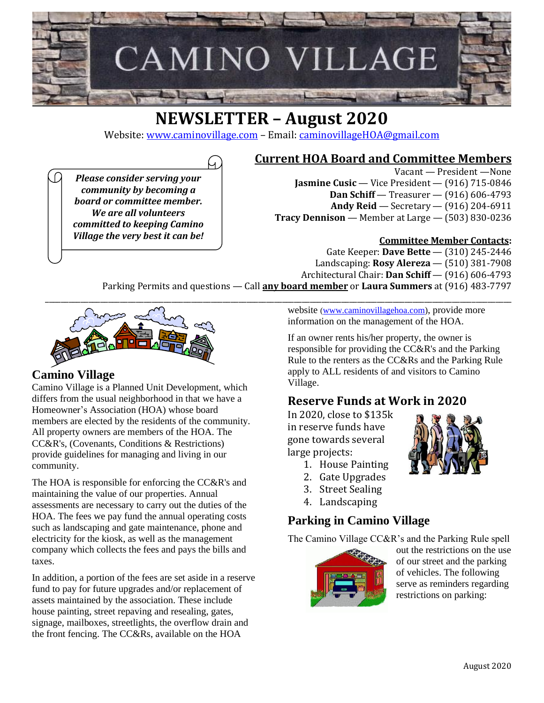

# **NEWSLETTER – August 2020**

Website: [www.caminovillage.com](http://www.caminovillage.com/) – Email: [caminovillageHOA@gmail.com](mailto:caminovillageHOA@gmail.com)

**Current HOA Board and Committee Members**

*Please consider serving your community by becoming a board or committee member. We are all volunteers committed to keeping Camino Village the very best it can be!*

Vacant — President —None **Jasmine Cusic** — Vice President — (916) 715-0846 **Dan Schiff** — Treasurer — (916) 606-4793 **Andy Reid** — Secretary — (916) 204-6911 **Tracy Dennison** — Member at Large — (503) 830-0236

## **Committee Member Contacts:**

Gate Keeper: **Dave Bette** — (310) 245-2446 Landscaping: **Rosy Alereza** — (510) 381-7908 Architectural Chair: **Dan Schiff** — (916) 606-4793

Parking Permits and questions — Call **any board member** or **Laura Summers** at (916) 483-7797



# **Camino Village**

Camino Village is a Planned Unit Development, which differs from the usual neighborhood in that we have a Homeowner's Association (HOA) whose board members are elected by the residents of the community. All property owners are members of the HOA. The CC&R's, (Covenants, Conditions & Restrictions) provide guidelines for managing and living in our community.

The HOA is responsible for enforcing the CC&R's and maintaining the value of our properties. Annual assessments are necessary to carry out the duties of the HOA. The fees we pay fund the annual operating costs such as landscaping and gate maintenance, phone and electricity for the kiosk, as well as the management company which collects the fees and pays the bills and taxes.

In addition, a portion of the fees are set aside in a reserve fund to pay for future upgrades and/or replacement of assets maintained by the association. These include house painting, street repaving and resealing, gates, signage, mailboxes, streetlights, the overflow drain and the front fencing. The CC&Rs, available on the HOA

website ([www.caminovillagehoa.com\)](http://www.caminovillagehoa.com/), provide more information on the management of the HOA.

If an owner rents his/her property, the owner is responsible for providing the CC&R's and the Parking Rule to the renters as the CC&Rs and the Parking Rule apply to ALL residents of and visitors to Camino Village.

# **Reserve Funds at Work in 2020**

In 2020, close to \$135k in reserve funds have gone towards several large projects:

- 1. House Painting
- 2. Gate Upgrades
- 3. Street Sealing
- 4. Landscaping

# **Parking in Camino Village**

The Camino Village CC&R's and the Parking Rule spell



out the restrictions on the use of our street and the parking of vehicles. The following serve as reminders regarding restrictions on parking:

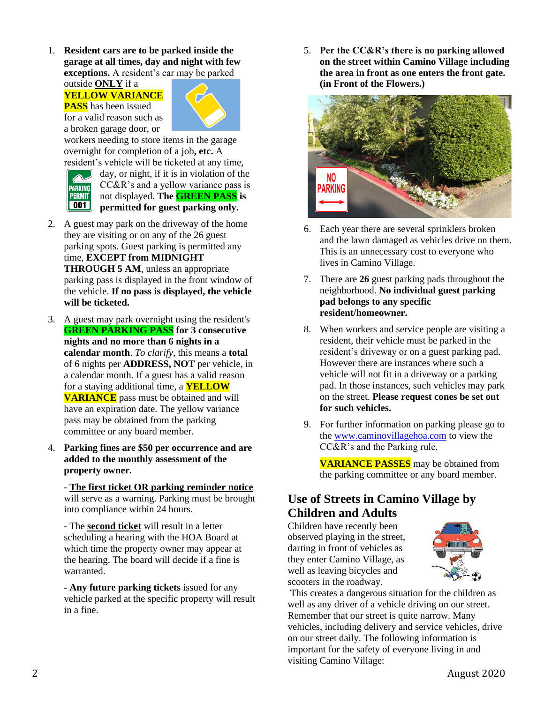1. **Resident cars are to be parked inside the garage at all times, day and night with few exceptions.** A resident's car may be parked

outside **ONLY** if a **YELLOW VARIANCE PASS** has been issued for a valid reason such as

a broken garage door, or



workers needing to store items in the garage overnight for completion of a job**, etc.** A resident's vehicle will be ticketed at any time,



day, or night, if it is in violation of the CC&R's and a yellow variance pass is not displayed. **The GREEN PASS is permitted for guest parking only.**

- 2. A guest may park on the driveway of the home they are visiting or on any of the 26 guest parking spots. Guest parking is permitted any time, **EXCEPT from MIDNIGHT THROUGH 5 AM**, unless an appropriate parking pass is displayed in the front window of the vehicle. **If no pass is displayed, the vehicle will be ticketed.**
- 3. A guest may park overnight using the resident's **GREEN PARKING PASS for 3 consecutive nights and no more than 6 nights in a calendar month**. *To clarify*, this means a **total** of 6 nights per **ADDRESS, NOT** per vehicle, in a calendar month. If a guest has a valid reason for a staying additional time, a **YELLOW VARIANCE** pass must be obtained and will have an expiration date. The yellow variance pass may be obtained from the parking committee or any board member.
- 4. **Parking fines are \$50 per occurrence and are added to the monthly assessment of the property owner.**

- **The first ticket OR parking reminder notice** will serve as a warning. Parking must be brought into compliance within 24 hours.

- The **second ticket** will result in a letter scheduling a hearing with the HOA Board at which time the property owner may appear at the hearing. The board will decide if a fine is warranted.

- **Any future parking tickets** issued for any vehicle parked at the specific property will result in a fine.

5. **Per the CC&R's there is no parking allowed on the street within Camino Village including the area in front as one enters the front gate. (in Front of the Flowers.)**



- 6. Each year there are several sprinklers broken and the lawn damaged as vehicles drive on them. This is an unnecessary cost to everyone who lives in Camino Village.
- 7. There are **26** guest parking pads throughout the neighborhood. **No individual guest parking pad belongs to any specific resident/homeowner.**
- 8. When workers and service people are visiting a resident, their vehicle must be parked in the resident's driveway or on a guest parking pad. However there are instances where such a vehicle will not fit in a driveway or a parking pad. In those instances, such vehicles may park on the street. **Please request cones be set out for such vehicles.**
- 9. For further information on parking please go to the [www.caminovillagehoa.com](http://www.caminovillagehoa.com/) to view the CC&R's and the Parking rule.

**VARIANCE PASSES** may be obtained from the parking committee or any board member.

# **Use of Streets in Camino Village by Children and Adults**

Children have recently been observed playing in the street, darting in front of vehicles as they enter Camino Village, as well as leaving bicycles and scooters in the roadway.



This creates a dangerous situation for the children as well as any driver of a vehicle driving on our street. Remember that our street is quite narrow. Many vehicles, including delivery and service vehicles, drive on our street daily. The following information is important for the safety of everyone living in and visiting Camino Village: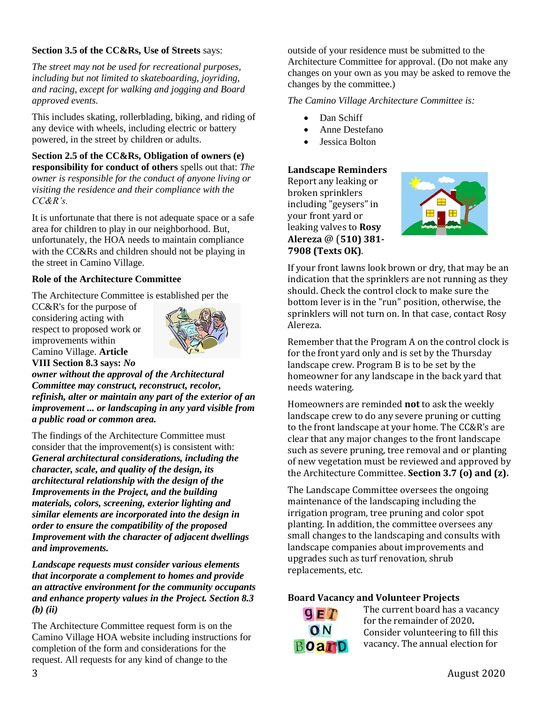#### **Section 3.5 of the CC&Rs, Use of Streets** says:

*The street may not be used for recreational purposes, including but not limited to skateboarding, joyriding, and racing, except for walking and jogging and Board approved events.*

This includes skating, rollerblading, biking, and riding of any device with wheels, including electric or battery powered, in the street by children or adults.

**Section 2.5 of the CC&Rs, Obligation of owners (e) responsibility for conduct of others** spells out that: *The owner is responsible for the conduct of anyone living or visiting the residence and their compliance with the CC&R's.*

It is unfortunate that there is not adequate space or a safe area for children to play in our neighborhood. But, unfortunately, the HOA needs to maintain compliance with the CC&Rs and children should not be playing in the street in Camino Village.

#### **Role of the Architecture Committee**

The Architecture Committee is established per the

CC&R's for the purpose of considering acting with respect to proposed work or improvements within Camino Village. **Article VIII Section 8.3 says:** *No* 



*owner without the approval of the Architectural Committee may construct, reconstruct, recolor, refinish, alter or maintain any part of the exterior of an improvement ... or landscaping in any yard visible from a public road or common area.*

The findings of the Architecture Committee must consider that the improvement(s) is consistent with: *General architectural considerations, including the character, scale, and quality of the design, its architectural relationship with the design of the Improvements in the Project, and the building materials, colors, screening, exterior lighting and similar elements are incorporated into the design in order to ensure the compatibility of the proposed Improvement with the character of adjacent dwellings and improvements.*

*Landscape requests must consider various elements that incorporate a complement to homes and provide an attractive environment for the community occupants and enhance property values in the Project. Section 8.3 (b) (ii)*

The Architecture Committee request form is on the Camino Village HOA website including instructions for completion of the form and considerations for the request. All requests for any kind of change to the

outside of your residence must be submitted to the Architecture Committee for approval. (Do not make any changes on your own as you may be asked to remove the changes by the committee.)

*The Camino Village Architecture Committee is:*

- Dan Schiff
- Anne Destefano
- Jessica Bolton

#### **Landscape Reminders**

Report any leaking or broken sprinklers including "geysers" in your front yard or leaking valves to **Rosy Alereza** @ (**510) 381- 7908 (Texts OK)**.



If your front lawns look brown or dry, that may be an indication that the sprinklers are not running as they should. Check the control clock to make sure the bottom lever is in the "run" position, otherwise, the sprinklers will not turn on. In that case, contact Rosy Alereza.

Remember that the Program A on the control clock is for the front yard only and is set by the Thursday landscape crew. Program B is to be set by the homeowner for any landscape in the back yard that needs watering.

Homeowners are reminded **not** to ask the weekly landscape crew to do any severe pruning or cutting to the front landscape at your home. The CC&R's are clear that any major changes to the front landscape such as severe pruning, tree removal and or planting of new vegetation must be reviewed and approved by the Architecture Committee. **Section 3.7 (o) and (z).**

The Landscape Committee oversees the ongoing maintenance of the landscaping including the irrigation program, tree pruning and color spot planting. In addition, the committee oversees any small changes to the landscaping and consults with landscape companies about improvements and upgrades such as turf renovation, shrub replacements, etc.

### **Board Vacancy and Volunteer Projects**



The current board has a vacancy for the remainder of 2020**.**  Consider volunteering to fill this vacancy. The annual election for